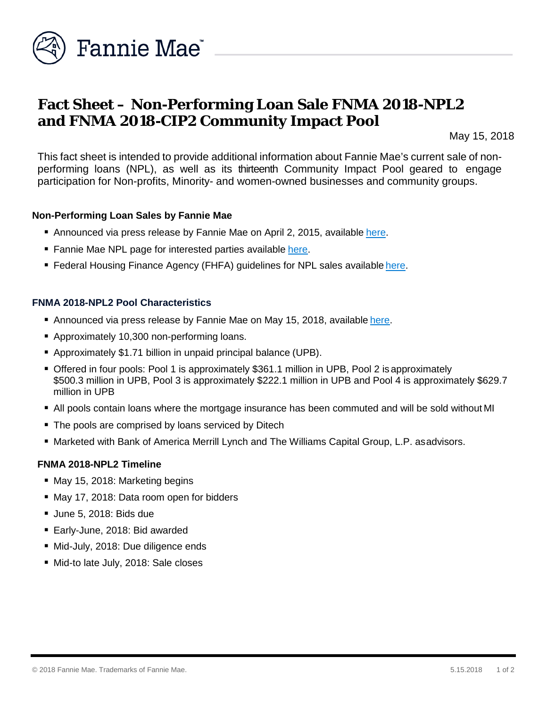

# **Fact Sheet – Non-Performing Loan Sale FNMA 2018-NPL2 and FNMA 2018-CIP2 Community Impact Pool**

May 15, 2018

This fact sheet is intended to provide additional information about Fannie Mae's current sale of nonperforming loans (NPL), as well as its thirteenth Community Impact Pool geared to engage participation for Non-profits, Minority- and women-owned businesses and community groups.

### **Non-Performing Loan Sales by Fannie Mae**

- Announced via press release by Fannie Mae on April 2, 2015, available [here.](http://www.fanniemae.com/portal/media/financial-news/2015/6233.html)
- Fannie Mae NPL page for interested parties available [here.](http://www.fanniemae.com/portal/funding-the-market/npl/index.html)
- Federal Housing Finance Agency (FHFA) guidelines for NPL sales available [here.](http://www.fhfa.gov/Media/PublicAffairs/Pages/Non-Performing-Loan-%28NPL%29-Sale-Requirements.aspx)

### **FNMA 2018-NPL2 Pool Characteristics**

- Announced via press release by Fannie Mae on May 15, 2018, available [here.](http://www.fanniemae.com/portal/media/financial-news/2018/nonperforming-loan-sale-6704.html)
- Approximately 10,300 non-performing loans.
- Approximately \$1.71 billion in unpaid principal balance (UPB).
- Offered in four pools: Pool 1 is approximately \$361.1 million in UPB, Pool 2 is approximately \$500.3 million in UPB, Pool 3 is approximately \$222.1 million in UPB and Pool 4 is approximately \$629.7 million in UPB
- All pools contain loans where the mortgage insurance has been commuted and will be sold without MI
- The pools are comprised by loans serviced by Ditech
- Marketed with Bank of America Merrill Lynch and The Williams Capital Group, L.P. asadvisors.

#### **FNMA 2018-NPL2 Timeline**

- **May 15, 2018: Marketing begins**
- May 17, 2018: Data room open for bidders
- June 5, 2018: Bids due
- Early-June, 2018: Bid awarded
- Mid-July, 2018: Due diligence ends
- Mid-to late July, 2018: Sale closes